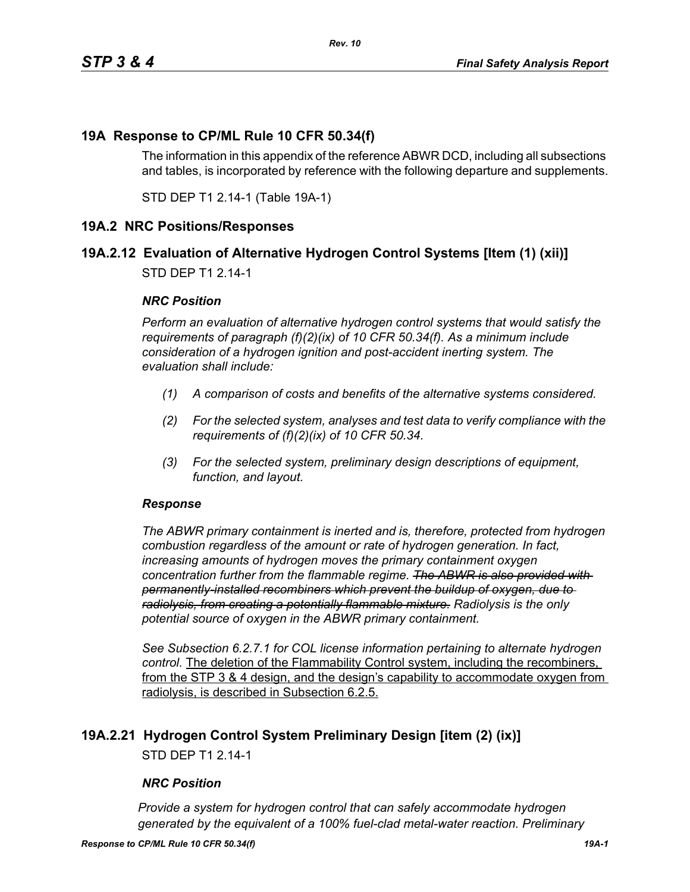### **19A Response to CP/ML Rule 10 CFR 50.34(f)**

The information in this appendix of the reference ABWR DCD, including all subsections and tables, is incorporated by reference with the following departure and supplements.

STD DEP T1 2.14-1 (Table 19A-1)

### **19A.2 NRC Positions/Responses**

### **19A.2.12 Evaluation of Alternative Hydrogen Control Systems [Item (1) (xii)]**

STD DEP T1 2.14-1

#### *NRC Position*

*Perform an evaluation of alternative hydrogen control systems that would satisfy the requirements of paragraph (f)(2)(ix) of 10 CFR 50.34(f). As a minimum include consideration of a hydrogen ignition and post-accident inerting system. The evaluation shall include:*

- *(1) A comparison of costs and benefits of the alternative systems considered.*
- *(2) For the selected system, analyses and test data to verify compliance with the requirements of (f)(2)(ix) of 10 CFR 50.34.*
- *(3) For the selected system, preliminary design descriptions of equipment, function, and layout.*

#### *Response*

*The ABWR primary containment is inerted and is, therefore, protected from hydrogen combustion regardless of the amount or rate of hydrogen generation. In fact, increasing amounts of hydrogen moves the primary containment oxygen concentration further from the flammable regime. The ABWR is also provided with permanently-installed recombiners which prevent the buildup of oxygen, due to radiolysis, from creating a potentially flammable mixture. Radiolysis is the only potential source of oxygen in the ABWR primary containment.*

*See Subsection 6.2.7.1 for COL license information pertaining to alternate hydrogen control.* The deletion of the Flammability Control system, including the recombiners, from the STP 3 & 4 design, and the design's capability to accommodate oxygen from radiolysis, is described in Subsection 6.2.5.

### **19A.2.21 Hydrogen Control System Preliminary Design [item (2) (ix)]**

STD DEP T1 2.14-1

#### *NRC Position*

*Provide a system for hydrogen control that can safely accommodate hydrogen generated by the equivalent of a 100% fuel-clad metal-water reaction. Preliminary*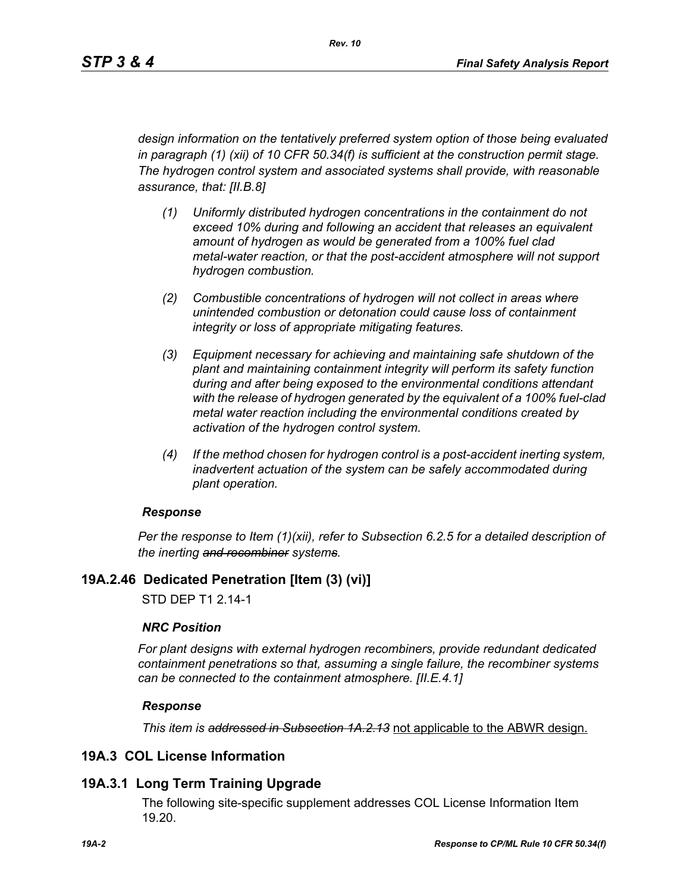*design information on the tentatively preferred system option of those being evaluated in paragraph (1) (xii) of 10 CFR 50.34(f) is sufficient at the construction permit stage. The hydrogen control system and associated systems shall provide, with reasonable assurance, that: [II.B.8]*

- *(1) Uniformly distributed hydrogen concentrations in the containment do not exceed 10% during and following an accident that releases an equivalent amount of hydrogen as would be generated from a 100% fuel clad metal-water reaction, or that the post-accident atmosphere will not support hydrogen combustion.*
- *(2) Combustible concentrations of hydrogen will not collect in areas where unintended combustion or detonation could cause loss of containment integrity or loss of appropriate mitigating features.*
- *(3) Equipment necessary for achieving and maintaining safe shutdown of the plant and maintaining containment integrity will perform its safety function during and after being exposed to the environmental conditions attendant with the release of hydrogen generated by the equivalent of a 100% fuel-clad metal water reaction including the environmental conditions created by activation of the hydrogen control system.*
- *(4) If the method chosen for hydrogen control is a post-accident inerting system, inadvertent actuation of the system can be safely accommodated during plant operation.*

#### *Response*

*Per the response to Item (1)(xii), refer to Subsection 6.2.5 for a detailed description of the inerting and recombiner systems.*

### **19A.2.46 Dedicated Penetration [Item (3) (vi)]**

STD DEP T1 2.14-1

#### *NRC Position*

*For plant designs with external hydrogen recombiners, provide redundant dedicated containment penetrations so that, assuming a single failure, the recombiner systems can be connected to the containment atmosphere. [II.E.4.1]*

#### *Response*

*This item is addressed in Subsection 1A.2.13* not applicable to the ABWR design.

### **19A.3 COL License Information**

### **19A.3.1 Long Term Training Upgrade**

The following site-specific supplement addresses COL License Information Item 19.20.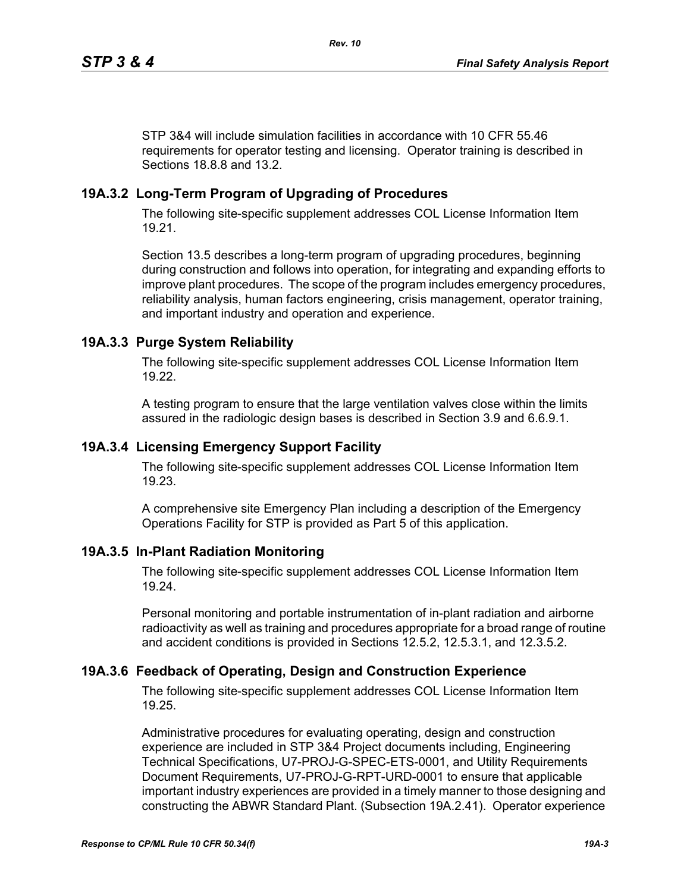STP 3&4 will include simulation facilities in accordance with 10 CFR 55.46 requirements for operator testing and licensing. Operator training is described in Sections 18.8.8 and 13.2.

# **19A.3.2 Long-Term Program of Upgrading of Procedures**

The following site-specific supplement addresses COL License Information Item 19.21.

Section 13.5 describes a long-term program of upgrading procedures, beginning during construction and follows into operation, for integrating and expanding efforts to improve plant procedures. The scope of the program includes emergency procedures, reliability analysis, human factors engineering, crisis management, operator training, and important industry and operation and experience.

# **19A.3.3 Purge System Reliability**

The following site-specific supplement addresses COL License Information Item 19.22.

A testing program to ensure that the large ventilation valves close within the limits assured in the radiologic design bases is described in Section 3.9 and 6.6.9.1.

### **19A.3.4 Licensing Emergency Support Facility**

The following site-specific supplement addresses COL License Information Item 19.23.

A comprehensive site Emergency Plan including a description of the Emergency Operations Facility for STP is provided as Part 5 of this application.

### **19A.3.5 In-Plant Radiation Monitoring**

The following site-specific supplement addresses COL License Information Item 19.24.

Personal monitoring and portable instrumentation of in-plant radiation and airborne radioactivity as well as training and procedures appropriate for a broad range of routine and accident conditions is provided in Sections 12.5.2, 12.5.3.1, and 12.3.5.2.

### **19A.3.6 Feedback of Operating, Design and Construction Experience**

The following site-specific supplement addresses COL License Information Item 19.25.

Administrative procedures for evaluating operating, design and construction experience are included in STP 3&4 Project documents including, Engineering Technical Specifications, U7-PROJ-G-SPEC-ETS-0001, and Utility Requirements Document Requirements, U7-PROJ-G-RPT-URD-0001 to ensure that applicable important industry experiences are provided in a timely manner to those designing and constructing the ABWR Standard Plant. (Subsection 19A.2.41). Operator experience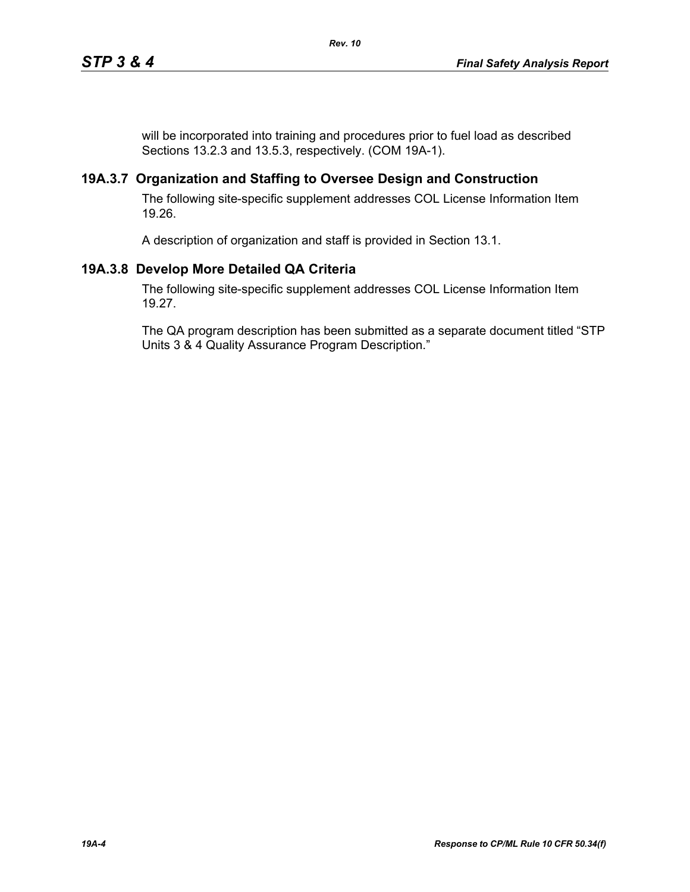will be incorporated into training and procedures prior to fuel load as described Sections 13.2.3 and 13.5.3, respectively. (COM 19A-1).

### **19A.3.7 Organization and Staffing to Oversee Design and Construction**

The following site-specific supplement addresses COL License Information Item 19.26.

A description of organization and staff is provided in Section 13.1.

# **19A.3.8 Develop More Detailed QA Criteria**

The following site-specific supplement addresses COL License Information Item 19.27.

The QA program description has been submitted as a separate document titled "STP Units 3 & 4 Quality Assurance Program Description."